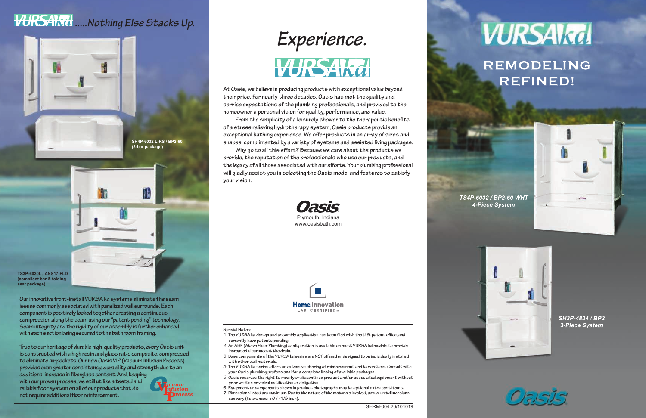## *.....Nothing Else Stacks Up.*



## REMODELING **REFINED!**







SH3P-4834 / BP2 **3-Piece System** 











**At Oasis, we believe in producing products with exceptional value beyond their price. For nearly three decades, Oasis has met the quality and service expectations of the plumbing professionals, and provided to the homeowner a personal vision for quality, performance, and value.** 

**From the simplicity of a leisurely shower to the therapeutic benefits of a stress relieving hydrotherapy system, Oasis products provide an exceptional bathing experience. We offer products in an array of sizes and shapes, complimented by a variety of systems and assisted living packages.**

**Why go to all this effort? Because we care about the products we provide, the reputation of the professionals who use our products, and the legacy of all those associated with our efforts. Your plumbing professional will gladly assist you in selecting the Oasis model and features to satisfy your vision.**

**Our innovative front-install VURSA kd systems eliminate the seam issues commonly associated with panelized wall surrounds. Each component is positively locked together creating a continuous compression along the seam using our "patent pending" technology. Seam integrity and the rigidity of our assembly is further enhanced with each section being secured to the bathroom framing.**

**True to our heritage of durable high-quality products, every Oasis unit is constructed with a high resin and glass ratio composite, compressed to eliminate air pockets. Our new Oasis VIP (Vacuum Infusion Process) provides even greater consistency, durability and strength due to an** 

**additional increase in fiberglass content. And, keeping with our proven process, we still utilize a tested and reliable floor system on all of our products that do not require additional floor reinforcement.** 

## **Special Notes:**

- **1. The VURSA kd design and assembly application has been filed with the U.S. patent office, and currently have patents pending.**
- **2. An ABF (Above Floor Plumbing) configuration is available on most VURSA kd models to provide increased clearance at the drain.**
- **3. Base components of the VURSA kd series are NOT offered or designed to be individually installed with other wall materials.**
- **4. The VURSA kd series offers an extensive offering of reinforcement and bar options. Consult with your Oasis plumbing professional for a complete listing of available packages.**
- **5. Oasis reserves the right to modify or discontinue product and/or associated equipment without prior written or verbal notification or obligation.**
- **6. Equipment or components shown in product photographs may be optional extra cost items.**
- **7. Dimensions listed are maximum. Due to the nature of the materials involved, actual unit dimensions can vary (tolerances: +0 / -1/8 inch).**

**TS3P-6030L / ANS17-FLD (compliant bar & folding seat package)**